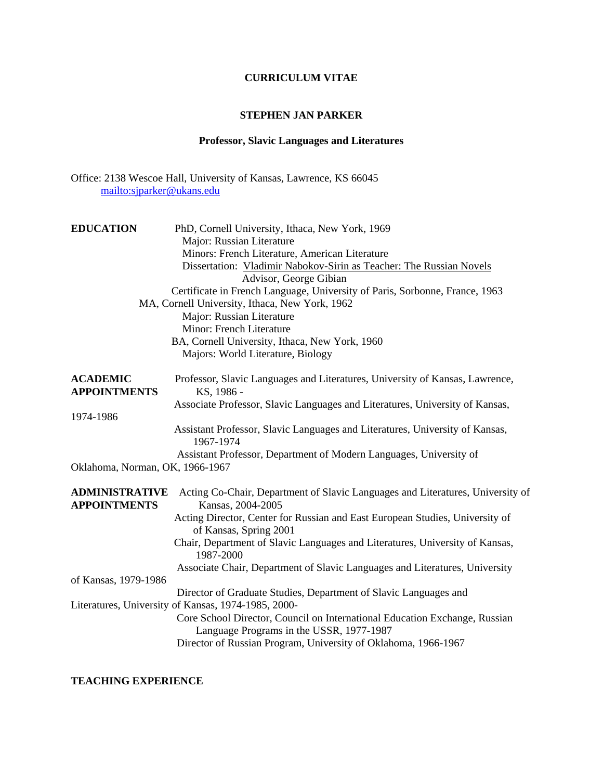## **CURRICULUM VITAE**

## **STEPHEN JAN PARKER**

# **Professor, Slavic Languages and Literatures**

Office: 2138 Wescoe Hall, University of Kansas, Lawrence, KS 66045 <mailto:sjparker@ukans.edu>

| <b>EDUCATION</b>                       | PhD, Cornell University, Ithaca, New York, 1969<br>Major: Russian Literature                                                  |
|----------------------------------------|-------------------------------------------------------------------------------------------------------------------------------|
|                                        | Minors: French Literature, American Literature                                                                                |
|                                        | Dissertation: Vladimir Nabokov-Sirin as Teacher: The Russian Novels                                                           |
|                                        | Advisor, George Gibian                                                                                                        |
|                                        | Certificate in French Language, University of Paris, Sorbonne, France, 1963<br>MA, Cornell University, Ithaca, New York, 1962 |
|                                        | Major: Russian Literature                                                                                                     |
|                                        | Minor: French Literature                                                                                                      |
|                                        | BA, Cornell University, Ithaca, New York, 1960                                                                                |
|                                        | Majors: World Literature, Biology                                                                                             |
| <b>ACADEMIC</b><br><b>APPOINTMENTS</b> | Professor, Slavic Languages and Literatures, University of Kansas, Lawrence,<br>KS, 1986 -                                    |
|                                        | Associate Professor, Slavic Languages and Literatures, University of Kansas,                                                  |
| 1974-1986                              |                                                                                                                               |
|                                        | Assistant Professor, Slavic Languages and Literatures, University of Kansas,<br>1967-1974                                     |
|                                        | Assistant Professor, Department of Modern Languages, University of                                                            |
| Oklahoma, Norman, OK, 1966-1967        |                                                                                                                               |
| <b>ADMINISTRATIVE</b>                  | Acting Co-Chair, Department of Slavic Languages and Literatures, University of                                                |
| <b>APPOINTMENTS</b>                    | Kansas, 2004-2005                                                                                                             |
|                                        | Acting Director, Center for Russian and East European Studies, University of<br>of Kansas, Spring 2001                        |
|                                        | Chair, Department of Slavic Languages and Literatures, University of Kansas,<br>1987-2000                                     |
|                                        | Associate Chair, Department of Slavic Languages and Literatures, University                                                   |
| of Kansas, 1979-1986                   |                                                                                                                               |
|                                        | Director of Graduate Studies, Department of Slavic Languages and                                                              |
|                                        | Literatures, University of Kansas, 1974-1985, 2000-                                                                           |
|                                        | Core School Director, Council on International Education Exchange, Russian<br>Language Programs in the USSR, 1977-1987        |
|                                        | Director of Russian Program, University of Oklahoma, 1966-1967                                                                |

## **TEACHING EXPERIENCE**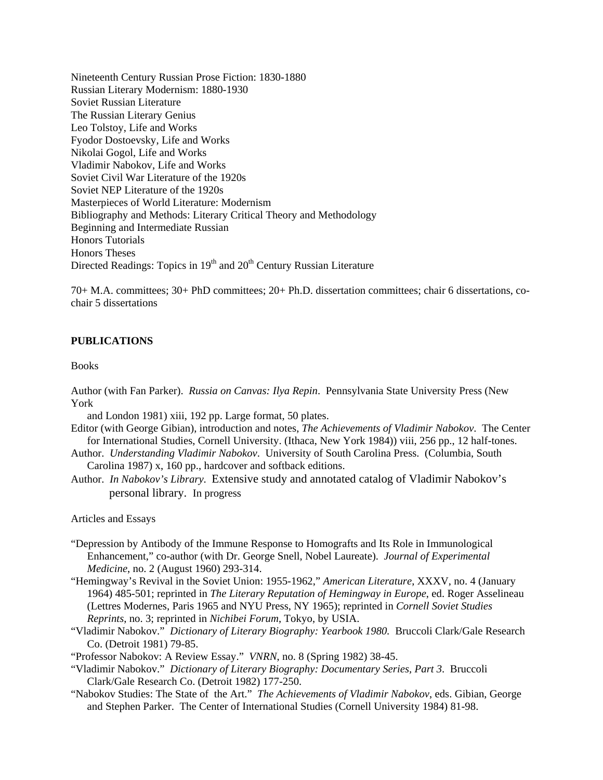Nineteenth Century Russian Prose Fiction: 1830-1880 Russian Literary Modernism: 1880-1930 Soviet Russian Literature The Russian Literary Genius Leo Tolstoy, Life and Works Fyodor Dostoevsky, Life and Works Nikolai Gogol, Life and Works Vladimir Nabokov, Life and Works Soviet Civil War Literature of the 1920s Soviet NEP Literature of the 1920s Masterpieces of World Literature: Modernism Bibliography and Methods: Literary Critical Theory and Methodology Beginning and Intermediate Russian Honors Tutorials Honors Theses Directed Readings: Topics in 19<sup>th</sup> and 20<sup>th</sup> Century Russian Literature

70+ M.A. committees; 30+ PhD committees; 20+ Ph.D. dissertation committees; chair 6 dissertations, cochair 5 dissertations

### **PUBLICATIONS**

#### **Books**

Author (with Fan Parker). *Russia on Canvas: Ilya Repin*. Pennsylvania State University Press (New York

and London 1981) xiii, 192 pp. Large format, 50 plates.

- Editor (with George Gibian), introduction and notes, *The Achievements of Vladimir Nabokov*. The Center for International Studies, Cornell University. (Ithaca, New York 1984)) viii, 256 pp., 12 half-tones.
- Author. *Understanding Vladimir Nabokov*. University of South Carolina Press. (Columbia, South Carolina 1987) x, 160 pp., hardcover and softback editions.
- Author. *In Nabokov's Library*. Extensive study and annotated catalog of Vladimir Nabokov's personal library. In progress

Articles and Essays

- "Depression by Antibody of the Immune Response to Homografts and Its Role in Immunological Enhancement," co-author (with Dr. George Snell, Nobel Laureate). *Journal of Experimental Medicine*, no. 2 (August 1960) 293-314.
- "Hemingway's Revival in the Soviet Union: 1955-1962," *American Literature*, XXXV, no. 4 (January 1964) 485-501; reprinted in *The Literary Reputation of Hemingway in Europe*, ed. Roger Asselineau (Lettres Modernes, Paris 1965 and NYU Press, NY 1965); reprinted in *Cornell Soviet Studies Reprints*, no. 3; reprinted in *Nichibei Forum*, Tokyo, by USIA.
- "Vladimir Nabokov." *Dictionary of Literary Biography: Yearbook 1980.* Bruccoli Clark/Gale Research Co. (Detroit 1981) 79-85.
- "Professor Nabokov: A Review Essay." *VNRN*, no. 8 (Spring 1982) 38-45.
- "Vladimir Nabokov." *Dictionary of Literary Biography: Documentary Series, Part 3*. Bruccoli Clark/Gale Research Co. (Detroit 1982) 177-250.
- "Nabokov Studies: The State of the Art." *The Achievements of Vladimir Nabokov*, eds. Gibian, George and Stephen Parker. The Center of International Studies (Cornell University 1984) 81-98.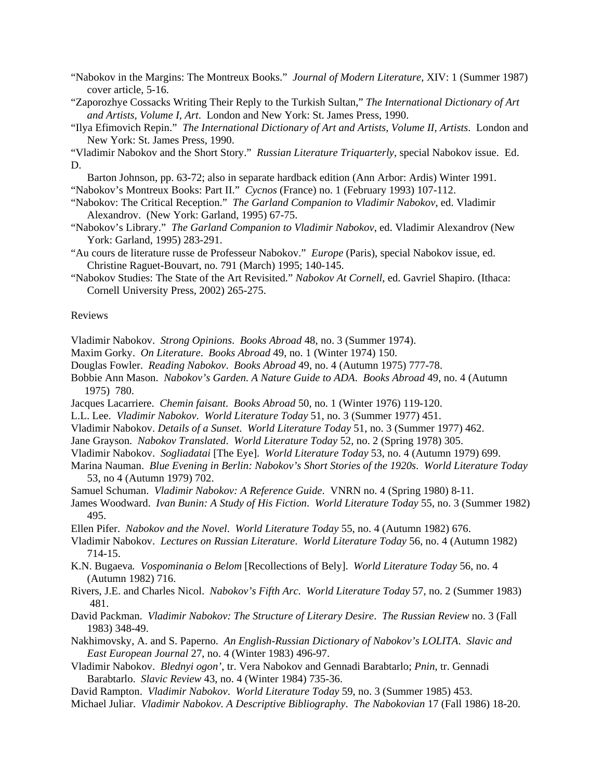"Nabokov in the Margins: The Montreux Books." *Journal of Modern Literature*, XIV: 1 (Summer 1987) cover article, 5-16.

- "Zaporozhye Cossacks Writing Their Reply to the Turkish Sultan," *The International Dictionary of Art and Artists, Volume I, Art*. London and New York: St. James Press, 1990.
- "Ilya Efimovich Repin." *The International Dictionary of Art and Artists, Volume II, Artists*. London and New York: St. James Press, 1990.

"Vladimir Nabokov and the Short Story." *Russian Literature Triquarterly*, special Nabokov issue. Ed. D.

 Barton Johnson, pp. 63-72; also in separate hardback edition (Ann Arbor: Ardis) Winter 1991. "Nabokov's Montreux Books: Part II." *Cycnos* (France) no. 1 (February 1993) 107-112.

- "Nabokov: The Critical Reception." *The Garland Companion to Vladimir Nabokov*, ed. Vladimir Alexandrov. (New York: Garland, 1995) 67-75.
- "Nabokov's Library." *The Garland Companion to Vladimir Nabokov*, ed. Vladimir Alexandrov (New York: Garland, 1995) 283-291.
- "Au cours de literature russe de Professeur Nabokov." *Europe* (Paris), special Nabokov issue, ed. Christine Raguet-Bouvart, no. 791 (March) 1995; 140-145.
- "Nabokov Studies: The State of the Art Revisited." *Nabokov At Cornell*, ed. Gavriel Shapiro. (Ithaca: Cornell University Press, 2002) 265-275.

#### Reviews

Vladimir Nabokov. *Strong Opinions*. *Books Abroad* 48, no. 3 (Summer 1974).

- Maxim Gorky. *On Literature*. *Books Abroad* 49, no. 1 (Winter 1974) 150.
- Douglas Fowler. *Reading Nabokov*. *Books Abroad* 49, no. 4 (Autumn 1975) 777-78.
- Bobbie Ann Mason. *Nabokov's Garden. A Nature Guide to ADA*. *Books Abroad* 49, no. 4 (Autumn 1975) 780.
- Jacques Lacarriere. *Chemin faisant*. *Books Abroad* 50, no. 1 (Winter 1976) 119-120.
- L.L. Lee. *Vladimir Nabokov*. *World Literature Today* 51, no. 3 (Summer 1977) 451.
- Vladimir Nabokov. *Details of a Sunset*. *World Literature Today* 51, no. 3 (Summer 1977) 462.
- Jane Grayson. *Nabokov Translated*. *World Literature Today* 52, no. 2 (Spring 1978) 305.
- Vladimir Nabokov. *Sogliadatai* [The Eye]. *World Literature Today* 53, no. 4 (Autumn 1979) 699.
- Marina Nauman. *Blue Evening in Berlin: Nabokov's Short Stories of the 1920s*. *World Literature Today* 53, no 4 (Autumn 1979) 702.
- Samuel Schuman. *Vladimir Nabokov: A Reference Guide*. VNRN no. 4 (Spring 1980) 8-11.
- James Woodward. *Ivan Bunin: A Study of His Fiction*. *World Literature Today* 55, no. 3 (Summer 1982) 495.
- Ellen Pifer. *Nabokov and the Novel*. *World Literature Today* 55, no. 4 (Autumn 1982) 676.
- Vladimir Nabokov. *Lectures on Russian Literature*. *World Literature Today* 56, no. 4 (Autumn 1982) 714-15.
- K.N. Bugaeva*. Vospominania o Belom* [Recollections of Bely]. *World Literature Today* 56, no. 4 (Autumn 1982) 716.
- Rivers, J.E. and Charles Nicol. *Nabokov's Fifth Arc*. *World Literature Today* 57, no. 2 (Summer 1983) 481.
- David Packman. *Vladimir Nabokov: The Structure of Literary Desire*. *The Russian Review* no. 3 (Fall 1983) 348-49.
- Nakhimovsky, A. and S. Paperno. *An English-Russian Dictionary of Nabokov's LOLITA*. *Slavic and East European Journal* 27, no. 4 (Winter 1983) 496-97.
- Vladimir Nabokov. *Blednyi ogon'*, tr. Vera Nabokov and Gennadi Barabtarlo; *Pnin*, tr. Gennadi Barabtarlo. *Slavic Review* 43, no. 4 (Winter 1984) 735-36.
- David Rampton. *Vladimir Nabokov*. *World Literature Today* 59, no. 3 (Summer 1985) 453.
- Michael Juliar. *Vladimir Nabokov. A Descriptive Bibliography*. *The Nabokovian* 17 (Fall 1986) 18-20.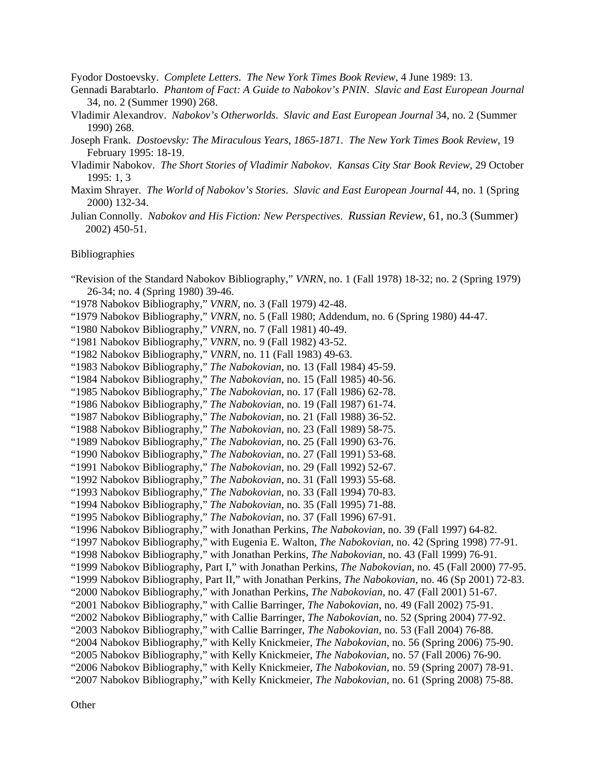Fyodor Dostoevsky. *Complete Letters*. *The New York Times Book Review*, 4 June 1989: 13.

- Gennadi Barabtarlo. *Phantom of Fact: A Guide to Nabokov's PNIN*. *Slavic and East European Journal* 34, no. 2 (Summer 1990) 268.
- Vladimir Alexandrov. *Nabokov's Otherworlds*. *Slavic and East European Journal* 34, no. 2 (Summer 1990) 268.
- Joseph Frank. *Dostoevsky: The Miraculous Years, 1865-1871. The New York Times Book Review*, 19 February 1995: 18-19.
- Vladimir Nabokov. *The Short Stories of Vladimir Nabokov*. *Kansas City Star Book Review*, 29 October 1995: 1, 3
- Maxim Shrayer. *The World of Nabokov's Stories*. *Slavic and East European Journal* 44, no. 1 (Spring 2000) 132-34.
- Julian Connolly. *Nabokov and His Fiction: New Perspectives*. *Russian Review*, 61, no.3 (Summer) 2002) 450-51.

#### Bibliographies

"Revision of the Standard Nabokov Bibliography," *VNRN*, no. 1 (Fall 1978) 18-32; no. 2 (Spring 1979) 26-34; no. 4 (Spring 1980) 39-46.

- "1978 Nabokov Bibliography," *VNRN,* no. 3 (Fall 1979) 42-48.
- "1979 Nabokov Bibliography," *VNRN*, no. 5 (Fall 1980; Addendum, no. 6 (Spring 1980) 44-47.
- "1980 Nabokov Bibliography," *VNRN*, no. 7 (Fall 1981) 40-49.
- "1981 Nabokov Bibliography," *VNRN*, no. 9 (Fall 1982) 43-52.
- "1982 Nabokov Bibliography," *VNRN*, no. 11 (Fall 1983) 49-63.
- "1983 Nabokov Bibliography," *The Nabokovian*, no. 13 (Fall 1984) 45-59.
- "1984 Nabokov Bibliography," *The Nabokovian*, no. 15 (Fall 1985) 40-56.
- "1985 Nabokov Bibliography," *The Nabokovian*, no. 17 (Fall 1986) 62-78.
- "1986 Nabokov Bibliography," *The Nabokovian*, no. 19 (Fall 1987) 61-74. "1987 Nabokov Bibliography," *The Nabokovian*, no. 21 (Fall 1988) 36-52.
- "1988 Nabokov Bibliography," *The Nabokovian*, no. 23 (Fall 1989) 58-75.
- "1989 Nabokov Bibliography," *The Nabokovian*, no. 25 (Fall 1990) 63-76.
- "1990 Nabokov Bibliography," *The Nabokovian*, no. 27 (Fall 1991) 53-68.
- "1991 Nabokov Bibliography," *The Nabokovian*, no. 29 (Fall 1992) 52-67.
- "1992 Nabokov Bibliography," *The Nabokovian*, no. 31 (Fall 1993) 55-68.
- "1993 Nabokov Bibliography," *The Nabokovian*, no. 33 (Fall 1994) 70-83.
- "1994 Nabokov Bibliography," *The Nabokovian*, no. 35 (Fall 1995) 71-88.
- "1995 Nabokov Bibliography," *The Nabokovian*, no. 37 (Fall 1996) 67-91.
- "1996 Nabokov Bibliography," with Jonathan Perkins, *The Nabokovian*, no. 39 (Fall 1997) 64-82.
- "1997 Nabokov Bibliography," with Eugenia E. Walton, *The Nabokovian*, no. 42 (Spring 1998) 77-91.
- "1998 Nabokov Bibliography," with Jonathan Perkins, *The Nabokovian*, no. 43 (Fall 1999) 76-91.
- "1999 Nabokov Bibliography, Part I," with Jonathan Perkins, *The Nabokovian*, no. 45 (Fall 2000) 77-95.
- "1999 Nabokov Bibliography, Part II," with Jonathan Perkins, *The Nabokovian*, no. 46 (Sp 2001) 72-83.
- "2000 Nabokov Bibliography," with Jonathan Perkins, *The Nabokovian*, no. 47 (Fall 2001) 51-67.
- "2001 Nabokov Bibliography," with Callie Barringer, *The Nabokovian*, no. 49 (Fall 2002) 75-91.
- "2002 Nabokov Bibliography," with Callie Barringer, *The Nabokovian*, no. 52 (Spring 2004) 77-92.
- "2003 Nabokov Bibliography," with Callie Barringer, *The Nabokovian*, no. 53 (Fall 2004) 76-88.
- "2004 Nabokov Bibliography," with Kelly Knickmeier, *The Nabokovian*, no. 56 (Spring 2006) 75-90.
- "2005 Nabokov Bibliography," with Kelly Knickmeier, *The Nabokovian*, no. 57 (Fall 2006) 76-90.
- "2006 Nabokov Bibliography," with Kelly Knickmeier, *The Nabokovian*, no. 59 (Spring 2007) 78-91.
- "2007 Nabokov Bibliography," with Kelly Knickmeier, *The Nabokovian*, no. 61 (Spring 2008) 75-88.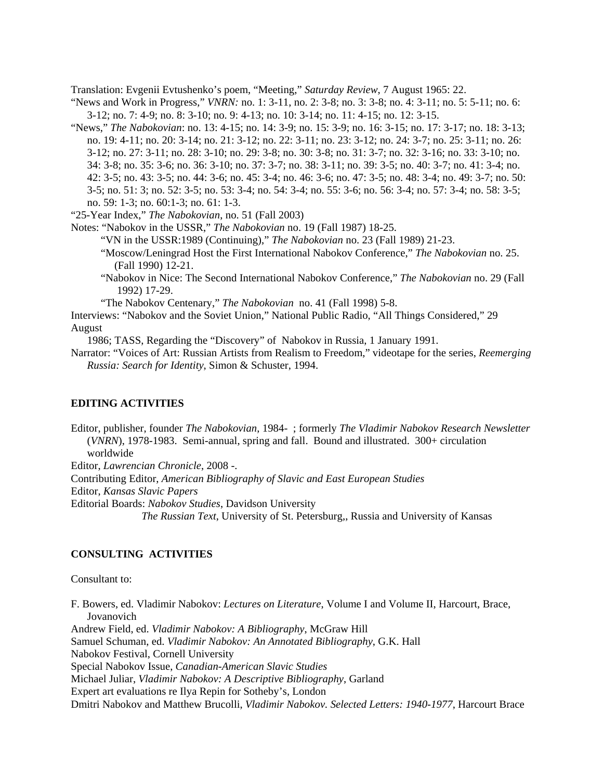Translation: Evgenii Evtushenko's poem, "Meeting," *Saturday Review*, 7 August 1965: 22.

- "News and Work in Progress," *VNRN:* no. 1: 3-11, no. 2: 3-8; no. 3: 3-8; no. 4: 3-11; no. 5: 5-11; no. 6: 3-12; no. 7: 4-9; no. 8: 3-10; no. 9: 4-13; no. 10: 3-14; no. 11: 4-15; no. 12: 3-15.
- "News," *The Nabokovian*: no. 13: 4-15; no. 14: 3-9; no. 15: 3-9; no. 16: 3-15; no. 17: 3-17; no. 18: 3-13; no. 19: 4-11; no. 20: 3-14; no. 21: 3-12; no. 22: 3-11; no. 23: 3-12; no. 24: 3-7; no. 25: 3-11; no. 26: 3-12; no. 27: 3-11; no. 28: 3-10; no. 29: 3-8; no. 30: 3-8; no. 31: 3-7; no. 32: 3-16; no. 33: 3-10; no. 34: 3-8; no. 35: 3-6; no. 36: 3-10; no. 37: 3-7; no. 38: 3-11; no. 39: 3-5; no. 40: 3-7; no. 41: 3-4; no. 42: 3-5; no. 43: 3-5; no. 44: 3-6; no. 45: 3-4; no. 46: 3-6; no. 47: 3-5; no. 48: 3-4; no. 49: 3-7; no. 50: 3-5; no. 51: 3; no. 52: 3-5; no. 53: 3-4; no. 54: 3-4; no. 55: 3-6; no. 56: 3-4; no. 57: 3-4; no. 58: 3-5; no. 59: 1-3; no. 60:1-3; no. 61: 1-3.

"25-Year Index," *The Nabokovian*, no. 51 (Fall 2003)

- Notes: "Nabokov in the USSR," *The Nabokovian* no. 19 (Fall 1987) 18-25. "VN in the USSR:1989 (Continuing)," *The Nabokovian* no. 23 (Fall 1989) 21-23. "Moscow/Leningrad Host the First International Nabokov Conference," *The Nabokovian* no. 25. (Fall 1990) 12-21.
	- "Nabokov in Nice: The Second International Nabokov Conference," *The Nabokovian* no. 29 (Fall 1992) 17-29.

"The Nabokov Centenary," *The Nabokovian* no. 41 (Fall 1998) 5-8.

Interviews: "Nabokov and the Soviet Union," National Public Radio, "All Things Considered," 29 August

1986; TASS, Regarding the "Discovery" of Nabokov in Russia, 1 January 1991.

Narrator: "Voices of Art: Russian Artists from Realism to Freedom," videotape for the series, *Reemerging Russia: Search for Identity*, Simon & Schuster, 1994.

### **EDITING ACTIVITIES**

Editor, publisher, founder *The Nabokovian*, 1984- ; formerly *The Vladimir Nabokov Research Newsletter* (*VNRN*), 1978-1983. Semi-annual, spring and fall. Bound and illustrated. 300+ circulation worldwide

Editor, *Lawrencian Chronicle*, 2008 -.

Contributing Editor, *American Bibliography of Slavic and East European Studies*

Editor, *Kansas Slavic Papers*

Editorial Boards: *Nabokov Studies*, Davidson University

 *The Russian Text*, University of St. Petersburg,, Russia and University of Kansas

## **CONSULTING ACTIVITIES**

#### Consultant to:

F. Bowers, ed. Vladimir Nabokov: *Lectures on Literature*, Volume I and Volume II, Harcourt, Brace, Jovanovich Andrew Field, ed. *Vladimir Nabokov: A Bibliography*, McGraw Hill Samuel Schuman, ed. *Vladimir Nabokov: An Annotated Bibliography*, G.K. Hall Nabokov Festival, Cornell University

Special Nabokov Issue, *Canadian-American Slavic Studies*

Michael Juliar, *Vladimir Nabokov: A Descriptive Bibliography*, Garland

Expert art evaluations re Ilya Repin for Sotheby's, London

Dmitri Nabokov and Matthew Brucolli, *Vladimir Nabokov. Selected Letters: 1940-1977*, Harcourt Brace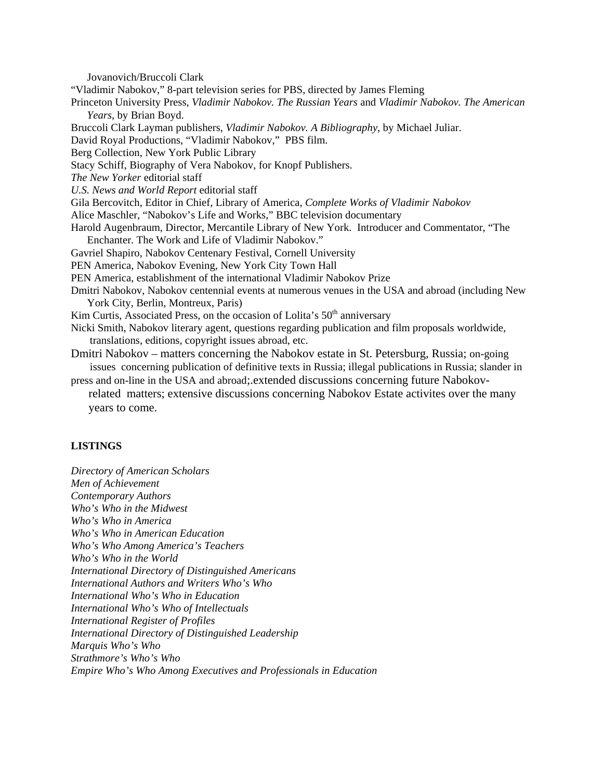Jovanovich/Bruccoli Clark "Vladimir Nabokov," 8-part television series for PBS, directed by James Fleming Princeton University Press, *Vladimir Nabokov. The Russian Years* and *Vladimir Nabokov. The American Years*, by Brian Boyd. Bruccoli Clark Layman publishers, *Vladimir Nabokov. A Bibliography*, by Michael Juliar. David Royal Productions, "Vladimir Nabokov," PBS film. Berg Collection, New York Public Library Stacy Schiff, Biography of Vera Nabokov, for Knopf Publishers. *The New Yorker* editorial staff *U.S. News and World Report* editorial staff Gila Bercovitch, Editor in Chief, Library of America, *Complete Works of Vladimir Nabokov* Alice Maschler, "Nabokov's Life and Works," BBC television documentary Harold Augenbraum, Director, Mercantile Library of New York. Introducer and Commentator, "The Enchanter. The Work and Life of Vladimir Nabokov." Gavriel Shapiro, Nabokov Centenary Festival, Cornell University PEN America, Nabokov Evening, New York City Town Hall PEN America, establishment of the international Vladimir Nabokov Prize Dmitri Nabokov, Nabokov centennial events at numerous venues in the USA and abroad (including New York City, Berlin, Montreux, Paris) Kim Curtis, Associated Press, on the occasion of Lolita's 50<sup>th</sup> anniversary Nicki Smith, Nabokov literary agent, questions regarding publication and film proposals worldwide, translations, editions, copyright issues abroad, etc. Dmitri Nabokov – matters concerning the Nabokov estate in St. Petersburg, Russia; on-going issues concerning publication of definitive texts in Russia; illegal publications in Russia; slander in press and on-line in the USA and abroad;.extended discussions concerning future Nabokov related matters; extensive discussions concerning Nabokov Estate activites over the many years to come.

### **LISTINGS**

*Directory of American Scholars Men of Achievement Contemporary Authors Who's Who in the Midwest Who's Who in America Who's Who in American Education Who's Who Among America's Teachers Who's Who in the World International Directory of Distinguished Americans International Authors and Writers Who's Who International Who's Who in Education International Who's Who of Intellectuals International Register of Profiles International Directory of Distinguished Leadership Marquis Who's Who Strathmore's Who's Who Empire Who's Who Among Executives and Professionals in Education*